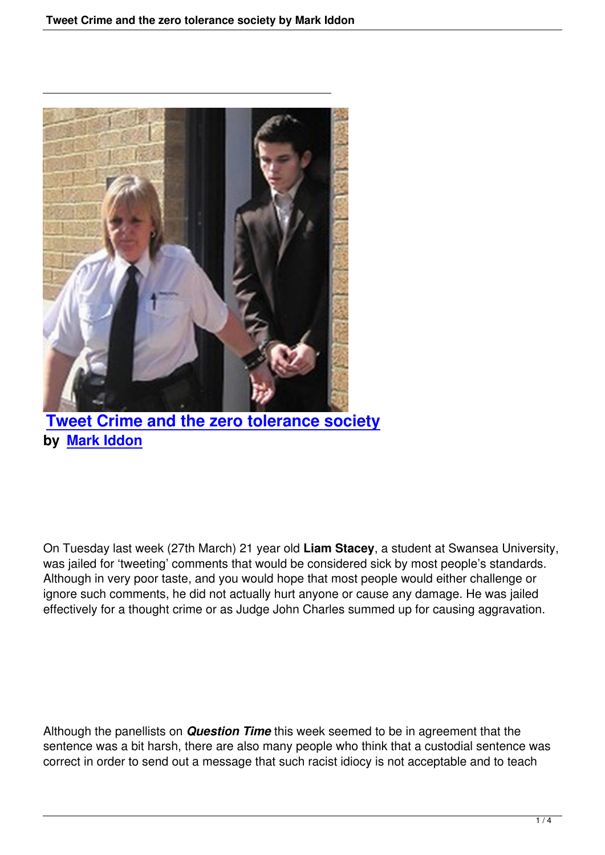

**Tweet Crime and the zero tolerance society by Mark Iddon**

On Tuesday last week (27th March) 21 year old **Liam Stacey**, a student at Swansea University, was jailed for 'tweeting' comments that would be considered sick by most people's standards. Although in very poor taste, and you would hope that most people would either challenge or ignore such comments, he did not actually hurt anyone or cause any damage. He was jailed effectively for a thought crime or as Judge John Charles summed up for causing aggravation.

Although the panellists on *Question Time* this week seemed to be in agreement that the sentence was a bit harsh, there are also many people who think that a custodial sentence was correct in order to send out a message that such racist idiocy is not acceptable and to teach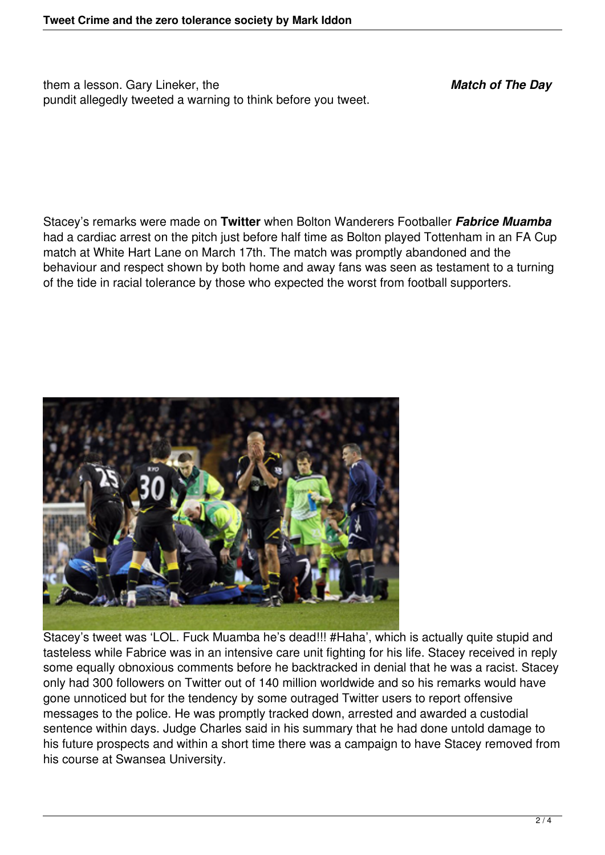them a lesson. Gary Lineker, the *Match of The Day* pundit allegedly tweeted a warning to think before you tweet.

Stacey's remarks were made on **Twitter** when Bolton Wanderers Footballer *Fabrice Muamba* had a cardiac arrest on the pitch just before half time as Bolton played Tottenham in an FA Cup match at White Hart Lane on March 17th. The match was promptly abandoned and the behaviour and respect shown by both home and away fans was seen as testament to a turning of the tide in racial tolerance by those who expected the worst from football supporters.



Stacey's tweet was 'LOL. Fuck Muamba he's dead!!! #Haha', which is actually quite stupid and tasteless while Fabrice was in an intensive care unit fighting for his life. Stacey received in reply some equally obnoxious comments before he backtracked in denial that he was a racist. Stacey only had 300 followers on Twitter out of 140 million worldwide and so his remarks would have gone unnoticed but for the tendency by some outraged Twitter users to report offensive messages to the police. He was promptly tracked down, arrested and awarded a custodial sentence within days. Judge Charles said in his summary that he had done untold damage to his future prospects and within a short time there was a campaign to have Stacey removed from his course at Swansea University.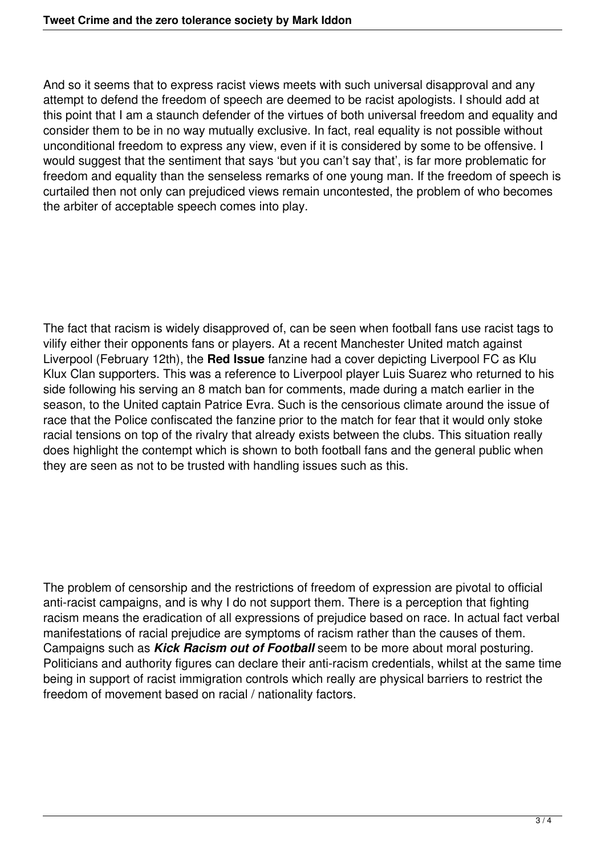And so it seems that to express racist views meets with such universal disapproval and any attempt to defend the freedom of speech are deemed to be racist apologists. I should add at this point that I am a staunch defender of the virtues of both universal freedom and equality and consider them to be in no way mutually exclusive. In fact, real equality is not possible without unconditional freedom to express any view, even if it is considered by some to be offensive. I would suggest that the sentiment that says 'but you can't say that', is far more problematic for freedom and equality than the senseless remarks of one young man. If the freedom of speech is curtailed then not only can prejudiced views remain uncontested, the problem of who becomes the arbiter of acceptable speech comes into play.

The fact that racism is widely disapproved of, can be seen when football fans use racist tags to vilify either their opponents fans or players. At a recent Manchester United match against Liverpool (February 12th), the **Red Issue** fanzine had a cover depicting Liverpool FC as Klu Klux Clan supporters. This was a reference to Liverpool player Luis Suarez who returned to his side following his serving an 8 match ban for comments, made during a match earlier in the season, to the United captain Patrice Evra. Such is the censorious climate around the issue of race that the Police confiscated the fanzine prior to the match for fear that it would only stoke racial tensions on top of the rivalry that already exists between the clubs. This situation really does highlight the contempt which is shown to both football fans and the general public when they are seen as not to be trusted with handling issues such as this.

The problem of censorship and the restrictions of freedom of expression are pivotal to official anti-racist campaigns, and is why I do not support them. There is a perception that fighting racism means the eradication of all expressions of prejudice based on race. In actual fact verbal manifestations of racial prejudice are symptoms of racism rather than the causes of them. Campaigns such as *Kick Racism out of Football* seem to be more about moral posturing. Politicians and authority figures can declare their anti-racism credentials, whilst at the same time being in support of racist immigration controls which really are physical barriers to restrict the freedom of movement based on racial / nationality factors.